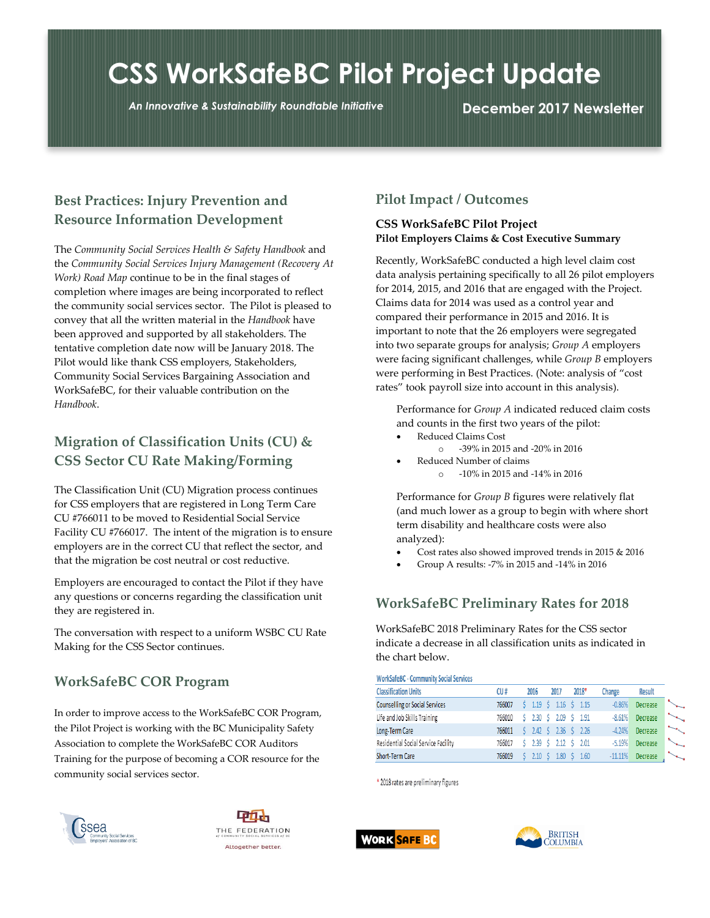# **CSS WorkSafeBC Pilot Project Update**

*An Innovative & Sustainability Roundtable Initiative* **December 2017 Newsletter**

#### **Best Practices: Injury Prevention and Resource Information Development**

The *Community Social Services Health & Safety Handbook* and the *Community Social Services Injury Management (Recovery At Work) Road Map* continue to be in the final stages of completion where images are being incorporated to reflect the community social services sector. The Pilot is pleased to convey that all the written material in the *Handbook* have been approved and supported by all stakeholders. The tentative completion date now will be January 2018. The Pilot would like thank CSS employers, Stakeholders, Community Social Services Bargaining Association and WorkSafeBC, for their valuable contribution on the *Handbook*.

#### **Migration of Classification Units (CU) & CSS Sector CU Rate Making/Forming**

The Classification Unit (CU) Migration process continues for CSS employers that are registered in Long Term Care CU #766011 to be moved to Residential Social Service Facility CU #766017. The intent of the migration is to ensure employers are in the correct CU that reflect the sector, and that the migration be cost neutral or cost reductive.

Employers are encouraged to contact the Pilot if they have any questions or concerns regarding the classification unit they are registered in.

The conversation with respect to a uniform WSBC CU Rate Making for the CSS Sector continues.

### **WorkSafeBC COR Program**

In order to improve access to the WorkSafeBC COR Program, the Pilot Project is working with the BC Municipality Safety Association to complete the WorkSafeBC COR Auditors Training for the purpose of becoming a COR resource for the community social services sector.

## SSea Community Social Services



#### **Pilot Impact / Outcomes**

#### **CSS WorkSafeBC Pilot Project Pilot Employers Claims & Cost Executive Summary**

Recently, WorkSafeBC conducted a high level claim cost data analysis pertaining specifically to all 26 pilot employers for 2014, 2015, and 2016 that are engaged with the Project. Claims data for 2014 was used as a control year and compared their performance in 2015 and 2016. It is important to note that the 26 employers were segregated into two separate groups for analysis; *Group A* employers were facing significant challenges, while *Group B* employers were performing in Best Practices. (Note: analysis of "cost rates" took payroll size into account in this analysis).

Performance for *Group A* indicated reduced claim costs and counts in the first two years of the pilot:

- Reduced Claims Cost
	- o -39% in 2015 and -20% in 2016
- Reduced Number of claims o -10% in 2015 and -14% in 2016

Performance for *Group B* figures were relatively flat (and much lower as a group to begin with where short term disability and healthcare costs were also analyzed):

- Cost rates also showed improved trends in 2015 & 2016
- Group A results: -7% in 2015 and -14% in 2016

### **WorkSafeBC Preliminary Rates for 2018**

WorkSafeBC 2018 Preliminary Rates for the CSS sector indicate a decrease in all classification units as indicated in the chart below.

| <b>Classification Units</b>         | CU#    | 2016                    | 2017                    | 2018*                      | Change    | <b>Result</b> |                          |
|-------------------------------------|--------|-------------------------|-------------------------|----------------------------|-----------|---------------|--------------------------|
| Counselling or Social Services      | 766007 |                         |                         | $5$ 1.19 $5$ 1.16 $5$ 1.15 | $-0.86%$  | Decrease      |                          |
| Life and Job Skills Training        | 766010 | \$ 2.30 \$ 2.09 \$ 1.91 |                         |                            | $-8.61%$  | Decrease      | $\overline{\phantom{a}}$ |
| Long-Term Care                      | 766011 |                         |                         | $5$ 2.42 $5$ 2.36 $5$ 2.26 | $-4.24%$  | Decrease      | $\overline{\phantom{a}}$ |
| Residential Social Service Facility | 766017 | \$ 2.39 \$ 2.12 \$ 2.01 |                         |                            | $-5.19%$  | Decrease      |                          |
| Short-Term Care                     | 766019 |                         | \$ 2.10 \$ 1.80 \$ 1.60 |                            | $-11.11%$ | Decrease      | $\overline{\phantom{a}}$ |

\* 2018 rates are preliminary figures